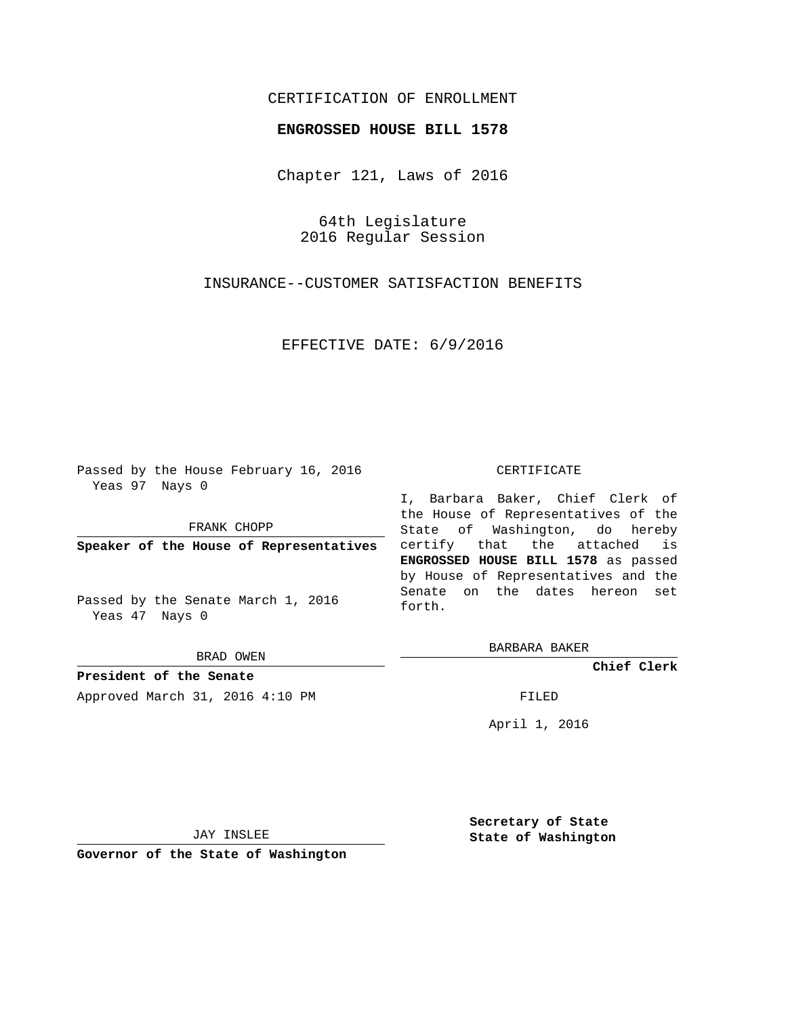## CERTIFICATION OF ENROLLMENT

## **ENGROSSED HOUSE BILL 1578**

Chapter 121, Laws of 2016

64th Legislature 2016 Regular Session

INSURANCE--CUSTOMER SATISFACTION BENEFITS

EFFECTIVE DATE: 6/9/2016

Passed by the House February 16, 2016 Yeas 97 Nays 0

FRANK CHOPP

**Speaker of the House of Representatives**

Passed by the Senate March 1, 2016 Yeas 47 Nays 0

BRAD OWEN

**President of the Senate** Approved March 31, 2016 4:10 PM FILED

## CERTIFICATE

I, Barbara Baker, Chief Clerk of the House of Representatives of the State of Washington, do hereby certify that the attached is **ENGROSSED HOUSE BILL 1578** as passed by House of Representatives and the Senate on the dates hereon set forth.

BARBARA BAKER

**Chief Clerk**

April 1, 2016

JAY INSLEE

**Governor of the State of Washington**

**Secretary of State State of Washington**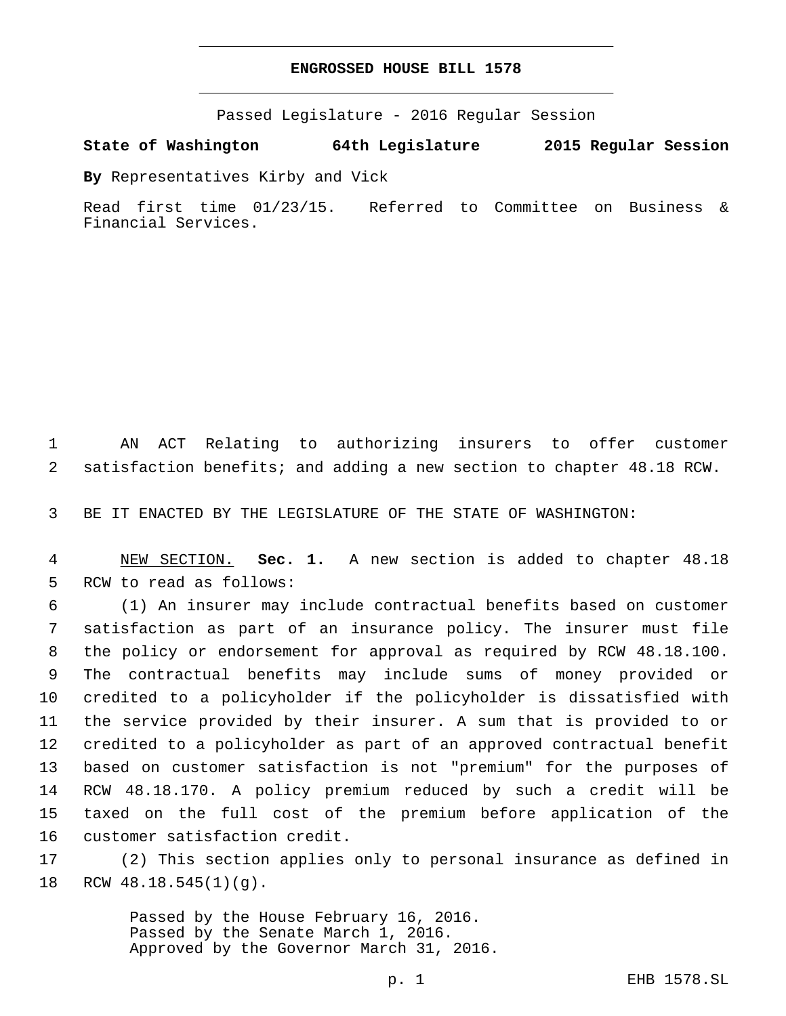## **ENGROSSED HOUSE BILL 1578**

Passed Legislature - 2016 Regular Session

**State of Washington 64th Legislature 2015 Regular Session**

**By** Representatives Kirby and Vick

Read first time 01/23/15. Referred to Committee on Business & Financial Services.

1 AN ACT Relating to authorizing insurers to offer customer 2 satisfaction benefits; and adding a new section to chapter 48.18 RCW.

3 BE IT ENACTED BY THE LEGISLATURE OF THE STATE OF WASHINGTON:

4 NEW SECTION. **Sec. 1.** A new section is added to chapter 48.18 5 RCW to read as follows:

 (1) An insurer may include contractual benefits based on customer satisfaction as part of an insurance policy. The insurer must file the policy or endorsement for approval as required by RCW 48.18.100. The contractual benefits may include sums of money provided or credited to a policyholder if the policyholder is dissatisfied with the service provided by their insurer. A sum that is provided to or credited to a policyholder as part of an approved contractual benefit based on customer satisfaction is not "premium" for the purposes of RCW 48.18.170. A policy premium reduced by such a credit will be taxed on the full cost of the premium before application of the 16 customer satisfaction credit.

17 (2) This section applies only to personal insurance as defined in 18 RCW  $48.18.545(1)(q)$ .

> Passed by the House February 16, 2016. Passed by the Senate March 1, 2016. Approved by the Governor March 31, 2016.